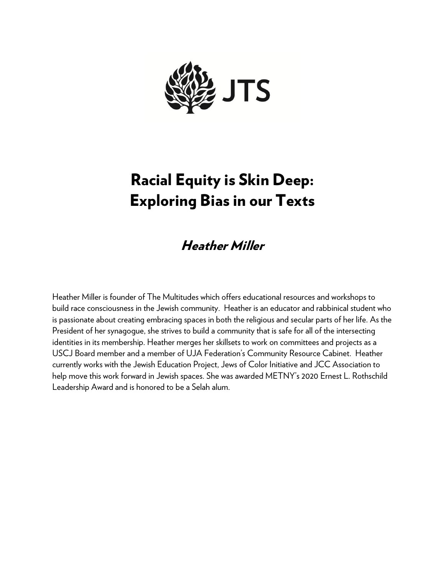

# Racial Equity is Skin Deep: Exploring Bias in our Texts

## Heather Miller

Heather Miller is founder of The Multitudes which offers educational resources and workshops to build race consciousness in the Jewish community. Heather is an educator and rabbinical student who is passionate about creating embracing spaces in both the religious and secular parts of her life. As the President of her synagogue, she strives to build a community that is safe for all of the intersecting identities in its membership. Heather merges her skillsets to work on committees and projects as a USCJ Board member and a member of UJA Federation's Community Resource Cabinet. Heather currently works with the Jewish Education Project, Jews of Color Initiative and JCC Association to help move this work forward in Jewish spaces. She was awarded METNY's 2020 Ernest L. Rothschild Leadership Award and is honored to be a Selah alum.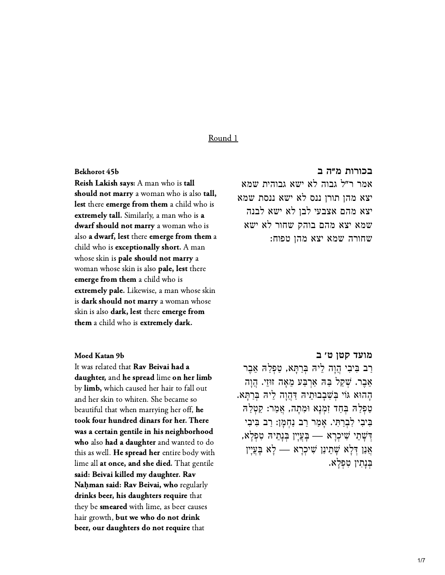#### Round 1

#### Bekhorot 45b

Reish Lakish says: A man who is tall should not marry a woman who is also tall, should not marry a woman who is also<br>lest there emerge from them a child wh **dest there emerge from them** a child who<br>extremely tall Similarly a man who is a extremely tall. Similarly, a man who is a dwarf should not marry a woman who is also a dwarf, lest there emerge from them a also **a dwart, lest** there **emerge from ti**<br>child who is **excentionally short**. A ma child who is **exceptionally short.** A man<br>whose skin is **pale should not marry** a whose skin is **pale should not ma**<br>woman whose skin is also **nale. le** woman whose skin is also **pale, lest** there<br>emerge from them a child who is emerge from them a child who is<br>extremely nale. Likewise, a man whose ski extremely pale. Likewise, a man whose s<br>is dark should not marry a woman who is dark should not marry a woman whose<br>skin is also dark, lest there emerge from them a child who is extremely dark.

**[בכורות מ״ה ב](https://www.sefaria.org/Bekhorot.45b.8)** b45 Bekhorot אמר ר"ל גבוה לא ישא גבוהית שמא יצא מהן תורן ננס לא ישא ננסת שמא יצא מהם אצבעי לבן לא ישא לבנה שמא יצא מהם בוהק שחור לא ישא שחורה שמא יצא מהן טפוח:

#### Moed Katan 9b

It was related that **Ray Beivai had a** It was related that **Kav Beivai had a**<br>**daughter,** and <mark>he spread</mark> lime <mark>on her lim</mark> by **limb,** which caused her hair to fall out<br>and her skin to whiten. She became so beautiful that when marrying her off, he took four hundred dinars for her. There took tour hundred dinars tor her. I here<br>was a certain gentile in his neighborhood was a certain gentile in his neighborhood<br>who also had a daughter and wanted to do who also had a daughter and wanted to do<br>this as well. He spread her entire body with lime all at once, and she died. That gentile ie all **at once, and she died.** I hat genti<br>**d: Beivai killed my daughter. Rav<br><b>ḥman said: Rav Beivai, who** regularly said: Beivai killed my daughter. Rav<br>Nahman said: Rav Beivai, who reqular N**aḥman saɪd: Kav Beɪvaɪ, who** regularly<br>drinks beer his daughters require that drinks beer, his daughters require that drinks beer, his daughters require tha<br>they be smeared with lime as beer caus they be **smeared** with lime, as beer cause<br>hair growth **but we who do not drink** beer, our daughters do not require that

# **[מועד קטן ט׳ ב](https://www.sefaria.org/Moed_Katan.9b.21)** b9 Katan Moed

ַרְב בִּיבִי הָוָה לִיהּ בְּרַתַּא, טַפְלַה אֶבֶר אֶבֶר. שָׁקַל בָּה אַרְבַּע מֵאָה זוּזֵי. הֲוַה ָהָהוּא גּוֹי בִּשְׁבָבוּתֵיהּ דַּהֲוָה לְיִהּ בְּרַתַּא. ַטְפְלָה בְּחַד זְמְנָא וּמְתַה, אֲמַר: קַטְלַה ַּבִּיבִי לִבְרַתִּי. אָמַר רַב נַחְמָן: רַב בִּיבִי ַטַפְּדַהּ בְּחַד זִמְנָא וּמִתָה, אֲמַר: קַטְּדַהּ<br>בִּיבִי לִבְרַתִּי. אָמַר רַב נַחְמָן: רַב בִּיבִי<br>דְּשָׁתֵי שִׁיכְרָא — בְּעֲיָן בְּנָתֵיהּ טִפְלָא, ַדְּשָׁתֵי שִׁיכְרָא — בְּעֲיָין בְּנָתֵיהּ טִפְלָא,<br>אֲנַן דִּלָא שָׁתֵינַן שִׁיכִרָא — לָא בָּעֲיָין ַבְּנְתִין טְפְלֵא.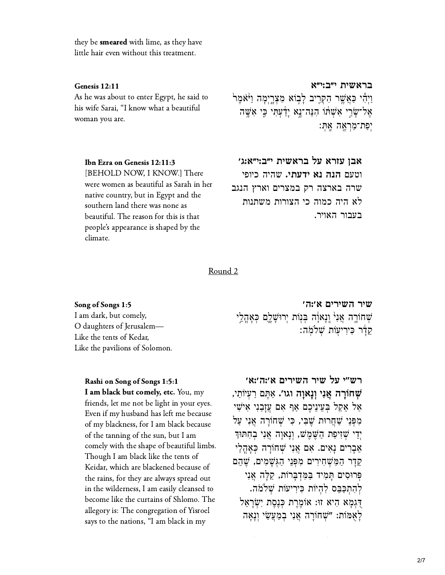they be **smeared** with lime, as they have little hair even without this treatment.

#### Genesis 12:11

As he was about to enter Egypt, he said to his wife Sarai, "I know what a beautiful woman you are.

#### Ibn Ezra on Genesis 12:11:3

[BEHOLD NOW, I KNOW.] There were women as beautiful as Sarah in her native country, but in Egypt and the southern land there was none as beautiful. The reason for this is that people's appearance is shaped by the climate.

#### בראשית י"ב:י"א

וַיְהִי כַּאֲשֶׁר הִקְרֵיב לָבְוֹא מִצְרֵיִמַּה וַיֹּאמֵר אַל־שַׂרֵי אַשָׁתוֹ הַנֵּה־נַא יַדָּעְתִּי כֵּי אַשֵּׁה יִפַּת־מַרְאֱה אֱתִּ:

#### אבו עזרא על בראשית י״ב:י״א:ג׳

וטעם הנה נא ידעתי. שהיה כיופי שרה בארצה רק במצרים וארץ הנגב לא היה כמוה כי הצורות משתנות בעבור האויר.

Round<sub>2</sub>

Song of Songs 1:5 I am dark, but comely, O daughters of Jerusalem— Like the tents of Kedar. Like the pavilions of Solomon.

#### Rashi on Song of Songs 1:5:1

I am black but comely, etc. You, my friends, let me not be light in your eyes. Even if my husband has left me because of my blackness, for I am black because of the tanning of the sun, but I am comely with the shape of beautiful limbs. Though I am black like the tents of Keidar, which are blackened because of the rains, for they are always spread out in the wilderness, I am easily cleansed to become like the curtains of Shlomo. The allegory is: The congregation of Yisroel says to the nations, "I am black in my

שיר השירים א':ה' ּשְׁחוֹרֶה אֲנִיٚ וְנָאוָׂה בְּנָוֹת יְרוּשָׁלֶם כְּאָהֲלֵי קַדָּר כִּירִיעָוֹת שָׁלֹמֹה:

רש"י על שיר השירים א':ה':א' שְׁחוֹרָה אֲנִי וְנָאוַה וגו׳. אַתֵּם רַעְיוֹתֵי, אַל אַקל בַּעֵינֵיכֵם אַף אַם עַזָּבַנִי אֵישִׁי מִפְּנֵי שַׁחֲרוּת שֶׁבִּי, כִּי שָׁחוֹרָה אֲנִי עַל יְדֵי שִׁיִיפַת הַשֵּׁמֵשׁ, וְנַאוַה אֲנִי בְחִתּוּךְ אֲבָרִים נַאִים. אִם אֲנִי שָׁחוֹרָה כְּאָהֲלֵי קדר המשחירים מפני הגשמים, שהם פּרוּסִים תַּמִיד בַּמִּדְבַרוֹת, קַלַּה אֲנִי להתכָּבֶם לְהִיוֹת כִּירִיעוֹת שָׁלֹמֹה. דְּגְמַא הִיא זוּ: אוֹמֶרֶת כְּנֵסֶת יְשְׂרָאֵל לְאָמּוֹת: "שְׁחוֹרָה אֲנִי בְמַעֲשֵׂי וְנָאָה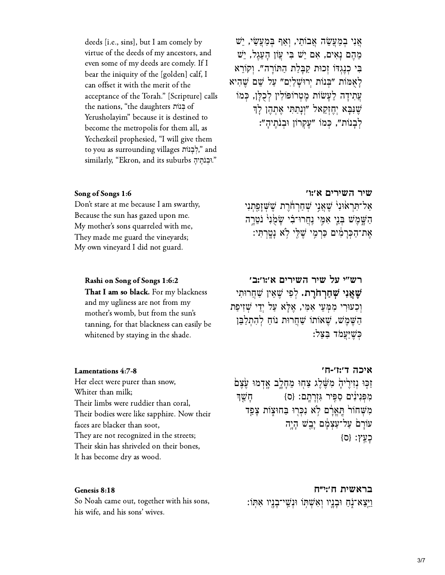deeds [i.e., sins], but I am comely by even some of my deeds are comely. If I virtue of the deeds of my ancestors, and bear the iniquity of the [golden] calf, I can offset it with the merit of the of the<br>Scriptu<br>חַ בְּנוֹת of acceptance of the Torah." [Scripture] c the nations, "the daughters בְּנוֹת of become the metropolis for them all, as Yerusholayim" because it is destined to m all, as<br>give them<br>לְבָנוֹת," and Yechezkeil prophesied, "I will give them<br>to you as surrounding villages "לְבָנוֹת;"<br>גּוּבְוֹתֶיהָ similarly, "Ekron, and its suburbs"

ָאֲנִי בְמַעֲשָׂה אֲבוֹתֵי, וְאֵף בְּמַעֲשָׂי, יֵשׁ ֵמ ֶה ם ָנ ִא ים, ִא ם ֵיׁש ִּב י ֲע ֹון ָה ֵע ֶג ל, ֵיׁש ַבִּי כְנֵגְדּוֹ זְכוּת קַבָּלַת הַתּוֹרָה". וְקוֹרֵא ָל ֻא ּמֹות "ְּב נֹות ְי רּוָׁש ַל ִים" ַע ל ֵׁש ם ֶׁש ִה יא ְעֲתִידָה לֵעֲשׂוֹת מֵטְרוֹפּוֹלִין לְכְלֵן, כְּמֹו ָשְׁנִּבָּא יְחֱזְקֵאל "וְנַתַתִּי אֶתְהֶן לַךְ לְבָנוֹת", כְּמֹוֹ "עֵקְרוֹן וּבְנֹתֵיהָ":

#### Song of Songs 1:6

Don't stare at me because I am swarthy, Because the sun has gazed upon me. My mother's sons quarreled with me, They made me guard the vineyards; My own vineyard I did not guard.

Rashi on Song of Songs 1:6:2 That I am so black. For my blackness and my ugliness are not from my

mother's womb, but from the sun's<br>tanning, for that blackness can easily be

whitened by staying in the shade.

# **[שיר השירים א׳:ו׳](https://www.sefaria.org/Song_of_Songs.1.6)** 1:6 Songs of Song

אַל־תְּרָאוּנִי ּשֵׁאֲנֵי שְׁחַרְחֹרֵת שֵׁשְׁזַפַּתְנִי הַשָּׁמֵשׁ בְּנֵי אִמֵּי נַחֲרוּ־בִ֫י שַׂמִנְיֹ נִטְרֵה ְאֶת־הַכְּרָמִים כַּרְמֶי שֶׁלֵּי לְא נָטֲרְתִּי:

### **[רש"י על שיר השירים א׳:ו׳:ב׳](https://www.sefaria.org/Rashi_on_Song_of_Songs.1.6.2)** 1:6:2 Songs of Song on Rashi **ֶׁש ֲא ִנ י ְׁש ַח ְר ֹח ֶר ת.** ְל ִפ י ֶׁש ֵא ין ַׁש ֲח רּוִת י וְכְעוּרִי מְמַעֵי אָמִי, אֶלָּא עַל יְדֵי שָׁזִיפַת  $\eta$  הַשֵּׁמֵ $\psi$  , יִשְׁאוֹתוֹ  $\psi$ חֲח וֹוֹחַ לְהִתְלַבֵּן כֹּשׁיּעמֹד בּצל:

Lamentations 4:7-8

Her elect were purer than snow, Whiter than milk; Their limbs were ruddier than coral, I heir bodies were like sapphire. Now their faces are blacker than soot, They are not recognized in the streets;<br>Their skin has shriveled on their bones, It has become dry as wood.

### **[איכה ד׳:ז׳-ח׳](https://www.sefaria.org/Lamentations.4.7-8)** 4:7-8 Lamentations ֹזְכֵוּ נִזְירֵיהָ מִשֶּׁלֵג צַחִוּ מֵחֲלֵב אֲדָמוּ עֵצֵם מִפְּנִינִים סַפֵּיר גִּזְרַתֵּם: {ס} ₪ סַעֲוּ מִשְׁחוֹר תַּאֲרָם לְא נִכְּרוּ בַּחוּצְוֹת צָפֵד עֹוֹרָם עַל־עַצְמָם יָבֵשׁ הָיֶה  ${5}$ כַעֱץ:  ${5}$

### Genesis 8:18

**[בראשית ח׳:י״ח](https://www.sefaria.org/Genesis.8.18)** 8:18 Genesis ַבראשית ח'זייח<br>So Noah came out, together with his sons, נֵיצֵא־נֶתַ וּבְנֶיו וְאִשְׁתְּוֹ וּוְשֵׁי־בָנֶיו אִתְּוֹ:<br>his wife, and his sons' wives.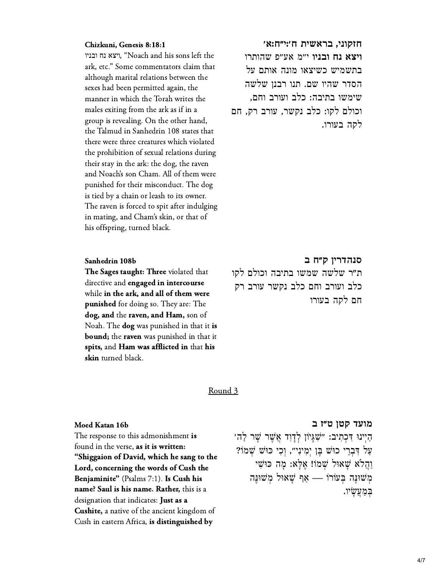#### Chizkuni, Genesis 8:18:1

C<mark>hizkuni, Genesis 8:18:1</mark><br>יצא נח ובניו, "Noach and his sons left the ark, etc." Some commentators claim that although marital relations between the sexes had been permitted again, the manner in which the Torah writes the males exiting from the ark as if in a group is revealing. On the other hand, the Ialmud in Sanhedrin 108 states that there were three creatures which violated the prohibition of sexual relations during their stay in the ark: the dog, the raven and Noach's son Cham. All of them were. punished for their misconduct. The dog is tied by a chain or leash to its owner. The raven is forced to spit after indulging. in mating, and Cham's skin, or that of his offspring, turned black.

#### Sanhedrin 108b

The Sages taught: Three violated that **The Sages taught: Three** violated that<br>directive and **engaged in intercourse** directive and **engaged in intercourse**<br>while **in the ark**: and all of them were while in the ark, and all of them were<br>punished for doing so. They are: The **punished** for doing so. They are: The<br>dog, and the raven, and Ham, son of **dog, and the raven, and Ham,** son of<br>Noah. The **dog** was punished in that it **is** Noah. The **dog** was punished in that it is<br>bound: the rayon was punished in that i **bound**; the raven was punished in that it bound; the raven was punished in that it<br>spits, and Ham was afflicted in that his skin turned black.

**[חזקוני, בראשית ח׳:י״ח:א׳](https://www.sefaria.org/Chizkuni%2C_Genesis.8.18.1)** 8:18:1 Genesis ,Chizkuni **ויצא נח ובניו** י״מ אע״פ שהותרו בתשמיש כשיצאו מונה אותם על הסדר שהיו שם. תנו רבנן שלשה שימשו בתיבה: כלב ועורב וחם, וכולם לקו: כלב נקשר, עורב רק, חם לקה בעורו.

# **[סנהדרין ק״ח ב](https://www.sefaria.org/Sanhedrin.108b.15)** b108 Sanhedrin

ת"ר שלשה שמשו בתיבה וכולם לקו כלב ועורב וחם כלב נקשר עורב רק חם לקה בעורו

#### Round 3

#### Moed Katan 16b

The response to this admonishment is found in the verse, as it is written: "Shiggaion of David, which he sang to the "Shiggaion of David, which he sang to<br>I ord, concerning the words of Cush tl Lord, concerning the words of Cush the<br>Beniaminite" (Pealms 7:1). Is Cush his Benjaminite" (Psalms 7:1). Is Cush his<br>name? Saul is his name. Rather, this is a designation that indicates: Just as a designation that indicates: **Just as a**<br>**Cushite,** a native of the ancient kingdom of Cush in eastern Africa, is distinguished by

# **[מועד קטן ט״ז ב](https://www.sefaria.org/Moed_Katan.16b.18)** b16 Katan Moed

ַה יִינוּ דְּכְתִיב: ״ִשְׁגַּיוֹן לְדַוִד אֲשֶׁר שַׁר לַה ַעֲל דְּבְרֵי כוּשׁ בֵּן יְמִינָי", וְכִי כּוּשׁ שָׁמֹוֹ? ַו ֲה ֹלא ָׁש אּול ְׁש מֹו! ֶא ָּל א: ָמ ה ּכּוִׁש י ְמ ׁשּוֶּנ ה ְּב עֹורֹו — ַא ף ָׁש אּול ְמ ׁשּוֶּנ <sup>ה</sup> ְּב ַמ ֲע ָׂש יו.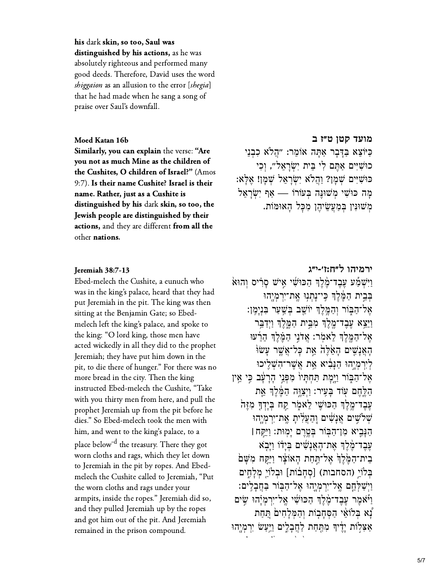$\, {\bf h}$ is dark <mark>skin, so too, Saul was</mark> distinguished by his actions, as he was<br>absolutely righteous and performed many absolutely righteous and performed many<br>good deeds. Therefore, David uses the wore<br>shiggaion as an allusion to the error [shegia] good deeds. I herefore, David uses the wo shiggaion as an allusion to the error [shegia] that he had made when he sang a song of praise over Saul's downfall.

#### Moed Katan 16b

Similarly, you can explain the verse: "Are<br>you not as much Mine as the children of you not as much Mine as the children of you not as much Mine as the children of<br>the Cushites, O children of Israel?" (Amos 9:7). Is their name Cushite? Israel is their<br>name. Rather, just as a Cushite is name. Rather, just as a Cushite is distinguished by his dark skin, so too, the distinguished by his dark skin, so too, the<br>Jewish people are distinguished by their actions, and they are different from all the other nations.

#### Ieremiah  $38:7-13$

Ebed-melech the Cushite, a eunuch who was in the king's palace, heard that they had put Jeremiah in the pit. The king was then sitting at the Benjamin Gate; so Ebedmelech left the king's palace, and spoke to the king: "O lord king, those men have acted wickedly in all they did to the prophet Jeremiah; they have put him down in the pit, to die there of hunger." For there was no more bread in the city. Then the king instructed Ebed-melech the Cushite, Take with you thirty men from here, and pull the prophet Jeremiah up from the pit before he dies." So Ebed-melech took the men with him, and went to the king's palace, to a place below " the treasury. I here they got worn cloths and rags, which they let down to Jeremiah in the pit by ropes. And Ebedmelech the Cushite called to Jeremiah, "Put the worn cloths and rags under your armpits, inside the ropes." Jeremiah did so, and they pulled Jeremiah up by the ropes<br>and got him out of the pit. And Jeremiah remained in the prison compound.

**[מועד קטן ט״ז ב](https://www.sefaria.org/Moed_Katan.16b.20)** b16 Katan Moed ַּכְיֹוֹצֵא בַּדְּבָר אַתָּה אוֹמֵר: "הֲלֹא כִבְנֵי כוּשִׁיִּים אַתֵּם לִי בֵּית יְשְׂרַאֱלֹ״, וְכִי ּכּוּשִׁיִּיִם שְׁמָן? וַהֲלֹא יִשְׂרָאֵל שְׁמָן! אֶלְא: ָכוּשִיִּים אַתֶּם קי בֵּית יִשְׂרָאֵל", וְכִי<br>כּוּשִׁיִּים שְׁמְן? וַהֲלֹא יִשְׂרָאֵל שְׁמְן! אֶלְא<br>מְה כּוּשִׁי מְשׁוּנֶּה בְּעוֹרוֹ — אַף יִשְׂרָאֵל ַמְשׁוּנִין בְּמַעֲשִׂיהֶן מְכָל הָאוּמּוֹת.

# **[ירמיהו ל״ח:ז׳-י״ג](https://www.sefaria.org/Jeremiah.38.7-13)** 38:7-13 Jeremiah

 $\alpha$ וַיִּשְׁמַע עֲבֵד־מֶקֶׂךְ הַכּוּשִׁי אֵישׁ סַרִיס וְהוּא ִּבְּיַת הַמֶּ֫לֵךְ כֵּי־נַתְנִוּ אֱת־יִרמְיָהוּ ָאֲל־הַבְּוֹר וְהַמֱלֵךְ יֹוֹשֵׁב בְּשֵׁעַר בְּנִיַמֵן: וַיֵּצֵא עֲבֵד־מֱלֵךְ מְבֵית הַמֵּלֵךְ וַיִדַבֵּ֣ר אֲל־הַמֱלֵךְ לָאמְר: אֲדֹנֵי הַמֵּ֫לֵךְ הָרָעׁוּ ָהַאֲנָשִׁים הַאֲלֶה אֶת כַּל־אֲשֶׁר עַשׂוּ ְלִירְמְיָהוּ הַנְּבִיא אֶת אֲשֶׁר־הָשָׁלֵיכוּ אַל־הַבְּוֹר וַיָּמָת תַּחְתָּיוֹ מִפְּנֵי הָרָעָּ֫ב כִּי אֵין הַלֶּחֶם עָוֹד בַּעֵיר: וַיִּצְוֶּה הַמֶּלֶךְ אֶת ְעֲבֵד־מֱלֵךְ הַכּוּּשֵׁי לֵאמֹר קַח בְּיַדְךָ מְזֶה ֿשְלֹישֵׁים אֲנַשִׁים וֶהַעֲלִיתַ אֱת־יִרְמְיֶהוּ ַה ָּנ ִ֛ב יא ִמ ן־ַה ּ֖ב ֹור ְּב ֶ֥ט ֶר ם ָיֽמ ּות׃ ַו ִּיַּ֣ק ח **׀** עֲבֶד־מָקָ֫ךְ אֶת־הָאֲנַשִׁים בְּיָדוֹ וַיַּבְא ַבִּית־הַמֶּׂלֶךְ אֶל־תַּחַת הָאוֹצָר וַיַּקָּח מִשָּׁם עֶבֶד־מֶּכֶדְּ אֶת־הָאֲנָשִים בְּיָדו וַיְּבָא<br>בִית־הַמֶּׂלֶךְ אֶל־תַּחַת הָאוֹצָר וַיֵּקֶח מִשָּׁם<br>בְּלוֹיֵ (הסחבות) [סְחָבּוֹת] וּבְלוֹיֵ מְלָחֶים ַוְיִשׁלְחֵם אֲל־יִרְמְיָהוּ אֱל־הַבְּוֹר בַּחֲבָלִים: ויֹאַמר עבד־מֹלִדְּ הִכּוּ<sup>ַיֹ</sup>שׁי אל־ירמיֹהוּ שׂים ְנַא בְּלֹוֹאֵי הַסְּחֲבוֹת וְהַמְּלַחִים תַּחַת אַצְלְוֹת יַדֵיךְ מְתֵּחַת לַחֲבָלֵים וַיַּעֲשׂ יִרְמְיֵהוּ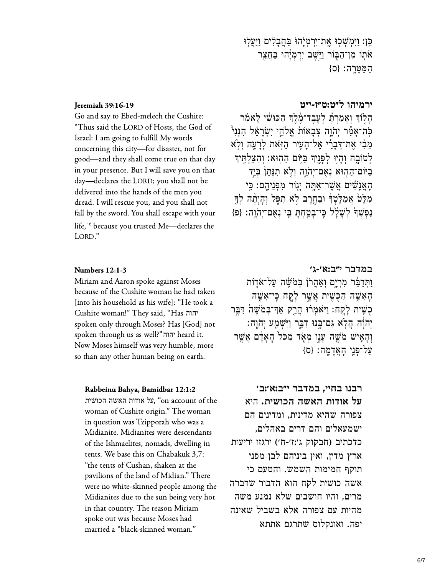כֵּן: וַיִּמְשָׁכִוּ אֱת־יִרְמְיָהוּ בַּחֲבָלִים וַיַּעֲלְוּ אתו מן־הַבְּוֹר וַיֵּשֵׁב יִרְמְיָ֫הוּ בַּחֲצֵר המטרה: {ס}

#### **Jeremiah 39:16-19**

Go and say to Ebed-melech the Cushite: "Thus said the LORD of Hosts, the God of Israel: I am going to fulfill My words concerning this city—for disaster, not for good—and they shall come true on that day in your presence. But I will save you on that day—declares the LORD; you shall not be delivered into the hands of the men you dread. I will rescue you, and you shall not fall by the sword. You shall escape with your life,<sup>-e</sup> because you trusted Me-declares the LORD."

### Numbers 12:1-3

Miriam and Aaron spoke against Moses because of the Cushite woman he had taken [into his household as his wife]: "He took a Cushite woman!" They said, "Has יהוה spoken only through Moses? Has [God] not spoken through us as well?"הוה heard it. Now Moses himself was very humble, more so than any other human being on earth.

### Rabbeinu Bahya, Bamidbar 12:1:2

על אודות האשה הכושית. "on account of the woman of Cushite origin." The woman in question was Tzipporah who was a Midianite. Midianites were descendants of the Ishmaelites, nomads, dwelling in tents. We base this on Chabakuk 3,7: "the tents of Cushan, shaken at the pavilions of the land of Midian." There were no white-skinned people among the Midianites due to the sun being very hot in that country. The reason Miriam spoke out was because Moses had married a "black-skinned woman."

### ירמיהו ל"ט:ט"ז-י"ט

הַלְוֹךְ וְאַמְרַתְ לְעֲבֶד־מֶּלֶךְ הַכּוּשִׁי לָאמֹר כְּה־אֲמֶר יְהֹוָה צִבְאוֹת אֱלֹהֵי יְשְׂרָאֵל הָנְנִיْ מֵבִ֫י אֲת־דָּבְרִ֫י אֱל־הַעֵּיר הַזְּאת לְרַעֲה וְלָא לְטוֹבָה וְהָיִוּ לְפָנֵיךְ בַּיּוֹם הָהִוּא: וְהָצַלְתֵּיךָ ביום־הַהְוּא נְאָם־יְהֹוֶה וְלָא תְנַתֵן בְּיָד האַנַשִּׁים אַשֶׁר־אַתַּה יַגְוֹר מִפְּנֵיהֵם: כֵּי מַלֵּטֹ אֲמַלֵּטְדִּ וּבָחֱרֵב לָא תִפְּל וְהָיִתָּה לְדֶּ נַפְשְׁךָּ לְשָׁלַל כֵּי־בָטֲחָתַ בֵּי נְאָם־יְהֹוֵה: {פּ}

### במדבר י״ב:א׳-ג׳

וַתְּדַבֶּר מְרִיַם וְאֲהָרֹן בְּמֹשֶׁה עַל־אֹדָוֹת הְאִשֶׁה הַכָּשִׁית אֲשֵׁר לָקַח בִּי־אָשֵׁה כְשֵׁית לַקֵח: וַיֹּאמְרֹוּ הֲרֵק אַדְ־בְּמֹשֵׁהֹ דְּבֵּר יְהֹוֵה הַלֹא גַם־בֵּנוּ דְבֵּר וַיִּשְׁמַע יְהֹוֵה: וְהָאִישׁ מֹשֶׁה עָנֶו מְאָד מִכֹּל הָאָדָם אֲשֵׁר עַל־פָּנֵי הַאֲדָמֶה: {ס

### רבנו בחיי, במדבר י״ב:א׳:ב׳

על אודות האשה הכושית. היא צפורה שהיא מדינית, ומדינים הם ישמעאלים והם דרים באהלים, כדכתיב (חבקוק ג':ו'-ח') ירגזו יריעות ארץ מדין, ואין ביניהם לבן מפני תוקף חמימות השמש. והטעם כי אשה כושית לקח הוא הדבור שדברה מרים. והיו חושבים שלא נמנע משה מהיות עם צפורה אלא בשביל שאינה יפה. ואונקלוס שתרגם אתתא